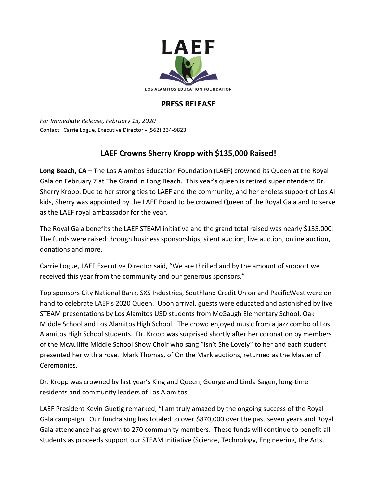

## **PRESS RELEASE**

*For Immediate Release, February 13, 2020* Contact: Carrie Logue, Executive Director - (562) 234-9823

## **LAEF Crowns Sherry Kropp with \$135,000 Raised!**

**Long Beach, CA –** The Los Alamitos Education Foundation (LAEF) crowned its Queen at the Royal Gala on February 7 at The Grand in Long Beach. This year's queen is retired superintendent Dr. Sherry Kropp. Due to her strong ties to LAEF and the community, and her endless support of Los Al kids, Sherry was appointed by the LAEF Board to be crowned Queen of the Royal Gala and to serve as the LAEF royal ambassador for the year.

The Royal Gala benefits the LAEF STEAM initiative and the grand total raised was nearly \$135,000! The funds were raised through business sponsorships, silent auction, live auction, online auction, donations and more.

Carrie Logue, LAEF Executive Director said, "We are thrilled and by the amount of support we received this year from the community and our generous sponsors."

Top sponsors City National Bank, SXS Industries, Southland Credit Union and PacificWest were on hand to celebrate LAEF's 2020 Queen. Upon arrival, guests were educated and astonished by live STEAM presentations by Los Alamitos USD students from McGaugh Elementary School, Oak Middle School and Los Alamitos High School. The crowd enjoyed music from a jazz combo of Los Alamitos High School students. Dr. Kropp was surprised shortly after her coronation by members of the McAuliffe Middle School Show Choir who sang "Isn't She Lovely" to her and each student presented her with a rose. Mark Thomas, of On the Mark auctions, returned as the Master of Ceremonies.

Dr. Kropp was crowned by last year's King and Queen, George and Linda Sagen, long-time residents and community leaders of Los Alamitos.

LAEF President Kevin Guetig remarked, "I am truly amazed by the ongoing success of the Royal Gala campaign. Our fundraising has totaled to over \$870,000 over the past seven years and Royal Gala attendance has grown to 270 community members. These funds will continue to benefit all students as proceeds support our STEAM Initiative (Science, Technology, Engineering, the Arts,